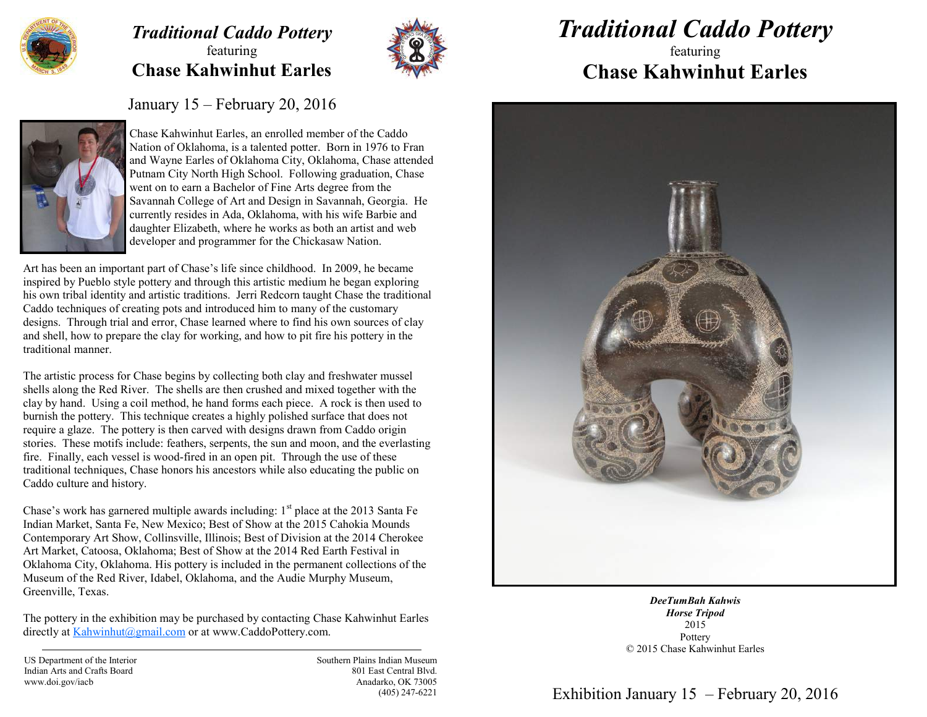

## *Traditional Caddo Pottery*  featuring **Chase Kahwinhut Earles**



## *Traditional Caddo Pottery*

## featuring **Chase Kahwinhut Earles**

January 15 – February 20, 2016



Chase Kahwinhut Earles, an enrolled member of the Caddo Nation of Oklahoma, is a talented potter. Born in 1976 to Fran and Wayne Earles of Oklahoma City, Oklahoma, Chase attended Putnam City North High School. Following graduation, Chase went on to earn a Bachelor of Fine Arts degree from the Savannah College of Art and Design in Savannah, Georgia. He currently resides in Ada, Oklahoma, with his wife Barbie and daughter Elizabeth, where he works as both an artist and web developer and programmer for the Chickasaw Nation.

Art has been an important part of Chase's life since childhood. In 2009, he became inspired by Pueblo style pottery and through this artistic medium he began exploring his own tribal identity and artistic traditions. Jerri Redcorn taught Chase the traditional Caddo techniques of creating pots and introduced him to many of the customary designs. Through trial and error, Chase learned where to find his own sources of clay and shell, how to prepare the clay for working, and how to pit fire his pottery in the traditional manner.

The artistic process for Chase begins by collecting both clay and freshwater mussel shells along the Red River. The shells are then crushed and mixed together with the clay by hand. Using a coil method, he hand forms each piece. A rock is then used to burnish the pottery. This technique creates a highly polished surface that does not require a glaze. The pottery is then carved with designs drawn from Caddo origin stories. These motifs include: feathers, serpents, the sun and moon, and the everlasting fire. Finally, each vessel is wood-fired in an open pit. Through the use of these traditional techniques, Chase honors his ancestors while also educating the public on Caddo culture and history.

Chase's work has garnered multiple awards including:  $1<sup>st</sup>$  place at the 2013 Santa Fe Indian Market, Santa Fe, New Mexico; Best of Show at the 2015 Cahokia Mounds Contemporary Art Show, Collinsville, Illinois; Best of Division at the 2014 Cherokee Art Market, Catoosa, Oklahoma; Best of Show at the 2014 Red Earth Festival in Oklahoma City, Oklahoma. His pottery is included in the permanent collections of the Museum of the Red River, Idabel, Oklahoma, and the Audie Murphy Museum, Greenville, Texas.

The pottery in the exhibition may be purchased by contacting Chase Kahwinhut Earles directly at [Kahwinhut@gmail.com](mailto:Kahwinhut@gmail.com) or at www.CaddoPottery.com.

US Department of the Interior Indian Arts and Crafts Board www.doi.gov/iacb

Southern Plains Indian Museum 801 East Central Blvd. Anadarko, OK 73005 (405) 247-6221



*DeeTumBah Kahwis Horse Tripod* 2015 Pottery © 2015 Chase Kahwinhut Earles

Exhibition January 15 – February 20, 2016